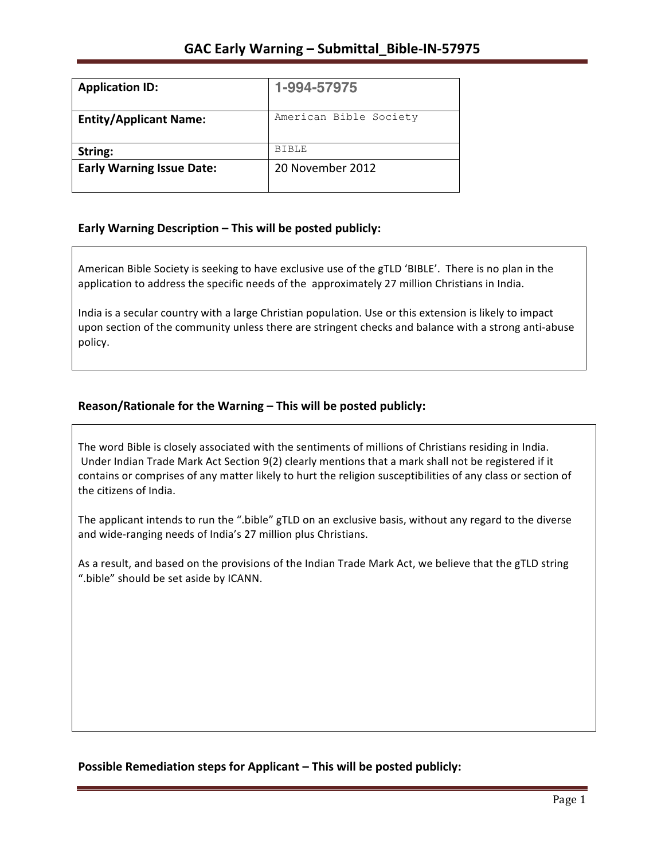| <b>Application ID:</b>           | 1-994-57975            |
|----------------------------------|------------------------|
| <b>Entity/Applicant Name:</b>    | American Bible Society |
| String:                          | <b>BIBLE</b>           |
| <b>Early Warning Issue Date:</b> | 20 November 2012       |

## **Early Warning Description – This will be posted publicly:**

American Bible Society is seeking to have exclusive use of the gTLD 'BIBLE'. There is no plan in the application to address the specific needs of the approximately 27 million Christians in India.

India is a secular country with a large Christian population. Use or this extension is likely to impact upon section of the community unless there are stringent checks and balance with a strong anti-abuse policy.

# Reason/Rationale for the Warning - This will be posted publicly:

The word Bible is closely associated with the sentiments of millions of Christians residing in India. Under Indian Trade Mark Act Section 9(2) clearly mentions that a mark shall not be registered if it contains or comprises of any matter likely to hurt the religion susceptibilities of any class or section of the citizens of India.

The applicant intends to run the ".bible" gTLD on an exclusive basis, without any regard to the diverse and wide-ranging needs of India's 27 million plus Christians.

As a result, and based on the provisions of the Indian Trade Mark Act, we believe that the gTLD string ".bible" should be set aside by ICANN.

**Possible Remediation steps for Applicant – This will be posted publicly:**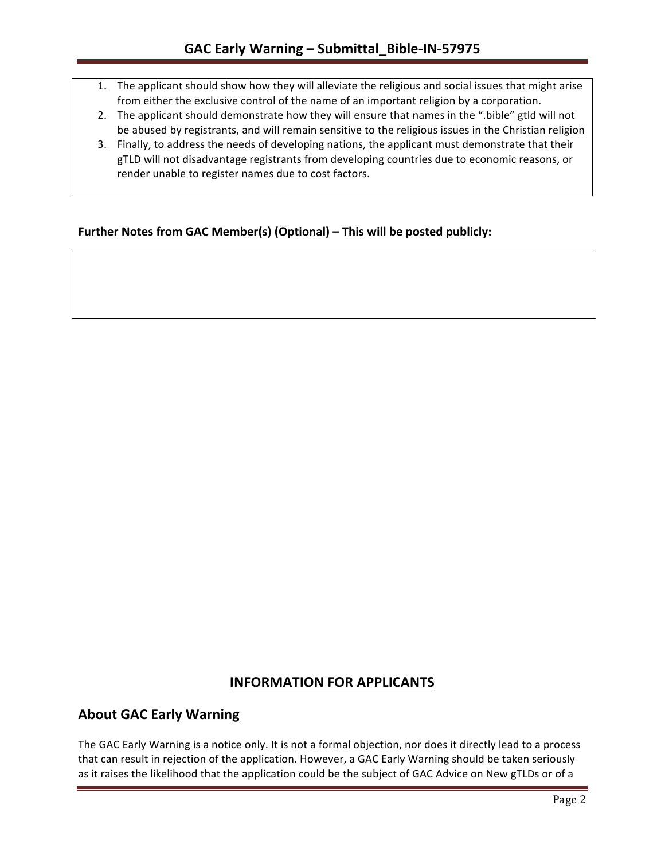- 1. The applicant should show how they will alleviate the religious and social issues that might arise from either the exclusive control of the name of an important religion by a corporation.
- 2. The applicant should demonstrate how they will ensure that names in the ".bible" gtld will not be abused by registrants, and will remain sensitive to the religious issues in the Christian religion
- 3. Finally, to address the needs of developing nations, the applicant must demonstrate that their gTLD will not disadvantage registrants from developing countries due to economic reasons, or render unable to register names due to cost factors.

## **Further Notes from GAC Member(s) (Optional) – This will be posted publicly:**

# **INFORMATION FOR APPLICANTS**

# **About GAC Early Warning**

The GAC Early Warning is a notice only. It is not a formal objection, nor does it directly lead to a process that can result in rejection of the application. However, a GAC Early Warning should be taken seriously as it raises the likelihood that the application could be the subject of GAC Advice on New gTLDs or of a